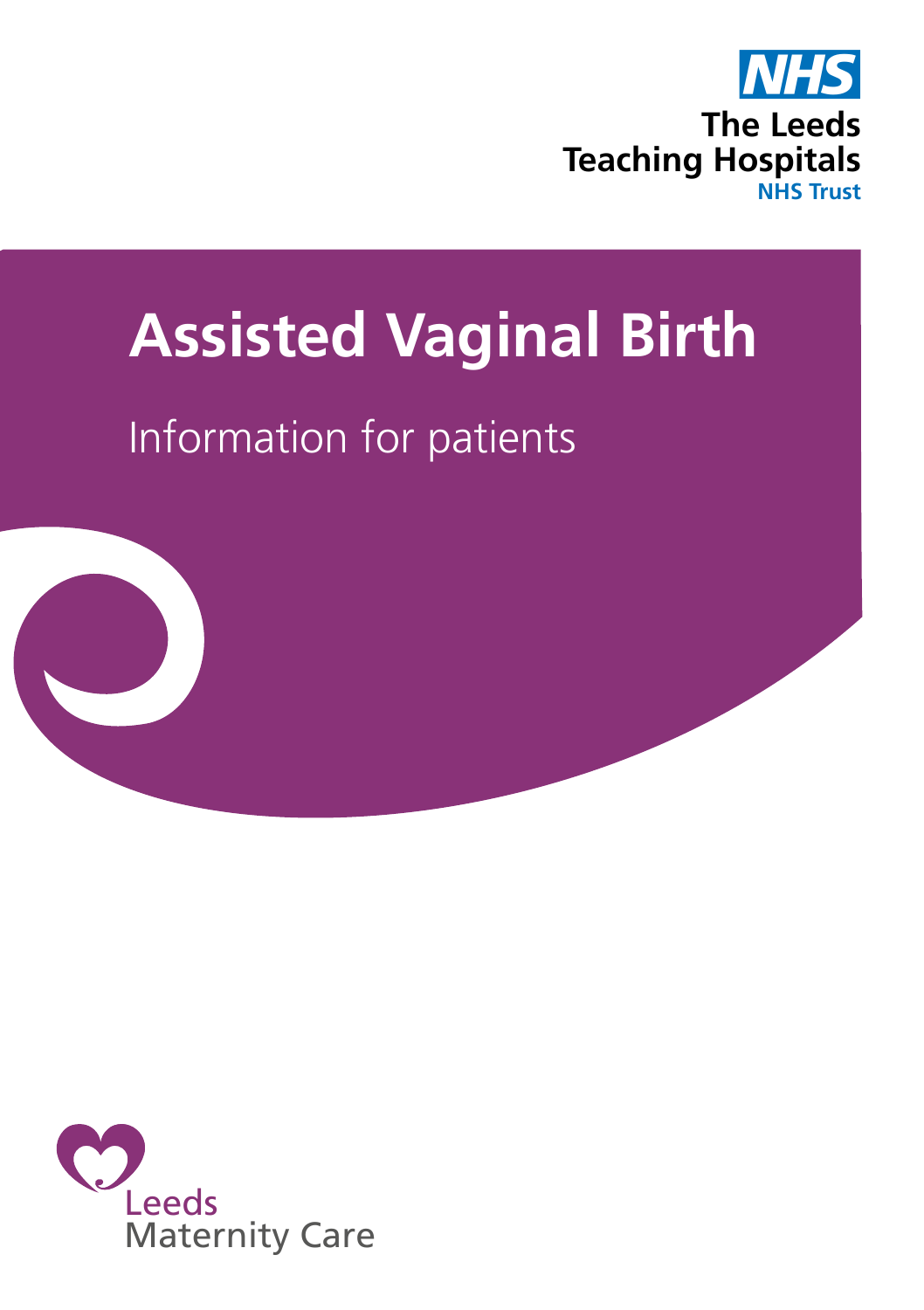

# **Assisted Vaginal Birth**

# Information for patients



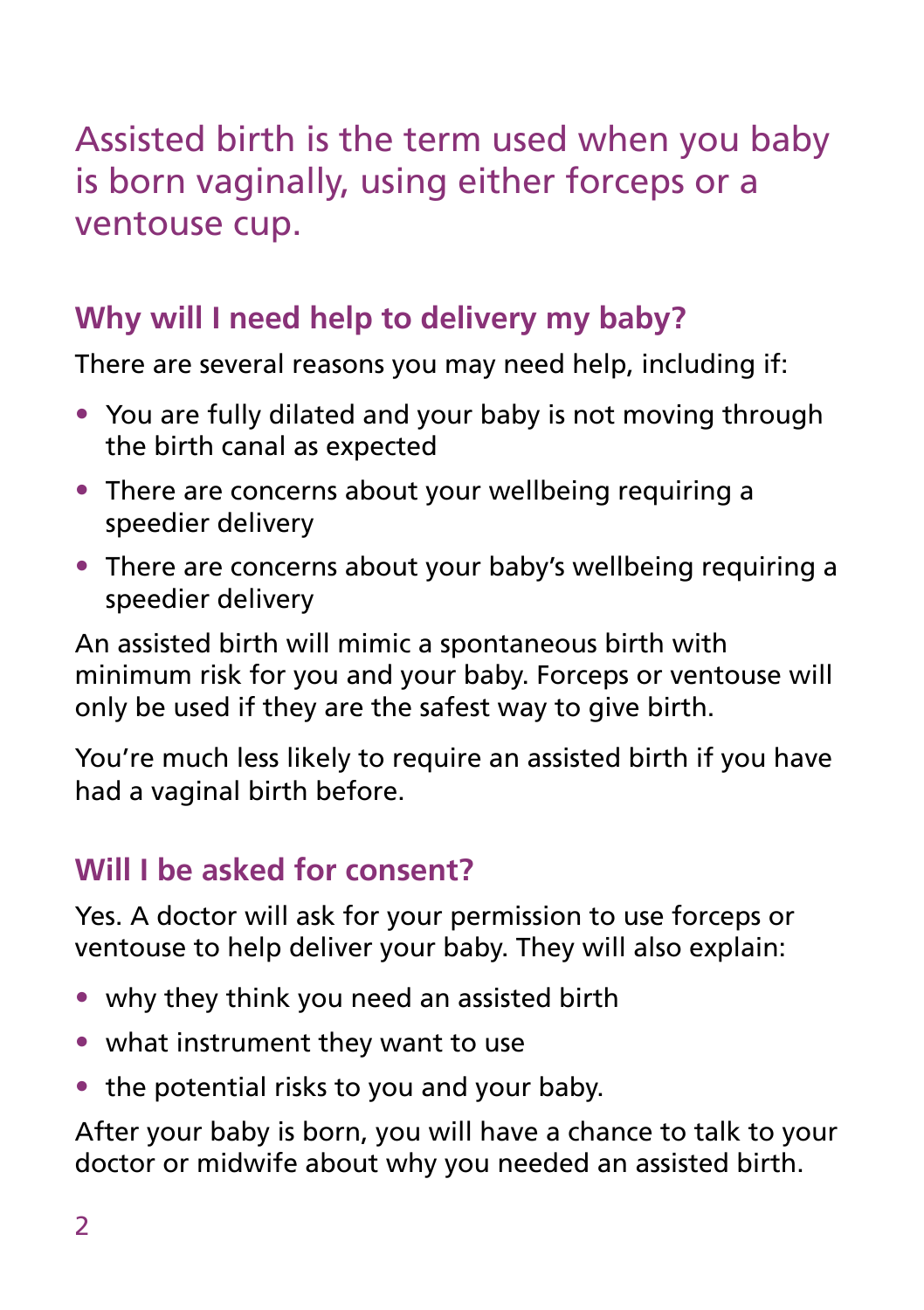Assisted birth is the term used when you baby is born vaginally, using either forceps or a ventouse cup.

# **Why will I need help to delivery my baby?**

There are several reasons you may need help, including if:

- You are fully dilated and your baby is not moving through the birth canal as expected
- There are concerns about your wellbeing requiring a speedier delivery
- There are concerns about your baby's wellbeing requiring a speedier delivery

An assisted birth will mimic a spontaneous birth with minimum risk for you and your baby. Forceps or ventouse will only be used if they are the safest way to give birth.

You're much less likely to require an assisted birth if you have had a vaginal birth before.

### **Will I be asked for consent?**

Yes. A doctor will ask for your permission to use forceps or ventouse to help deliver your baby. They will also explain:

- why they think you need an assisted birth
- what instrument they want to use
- the potential risks to you and your baby.

After your baby is born, you will have a chance to talk to your doctor or midwife about why you needed an assisted birth.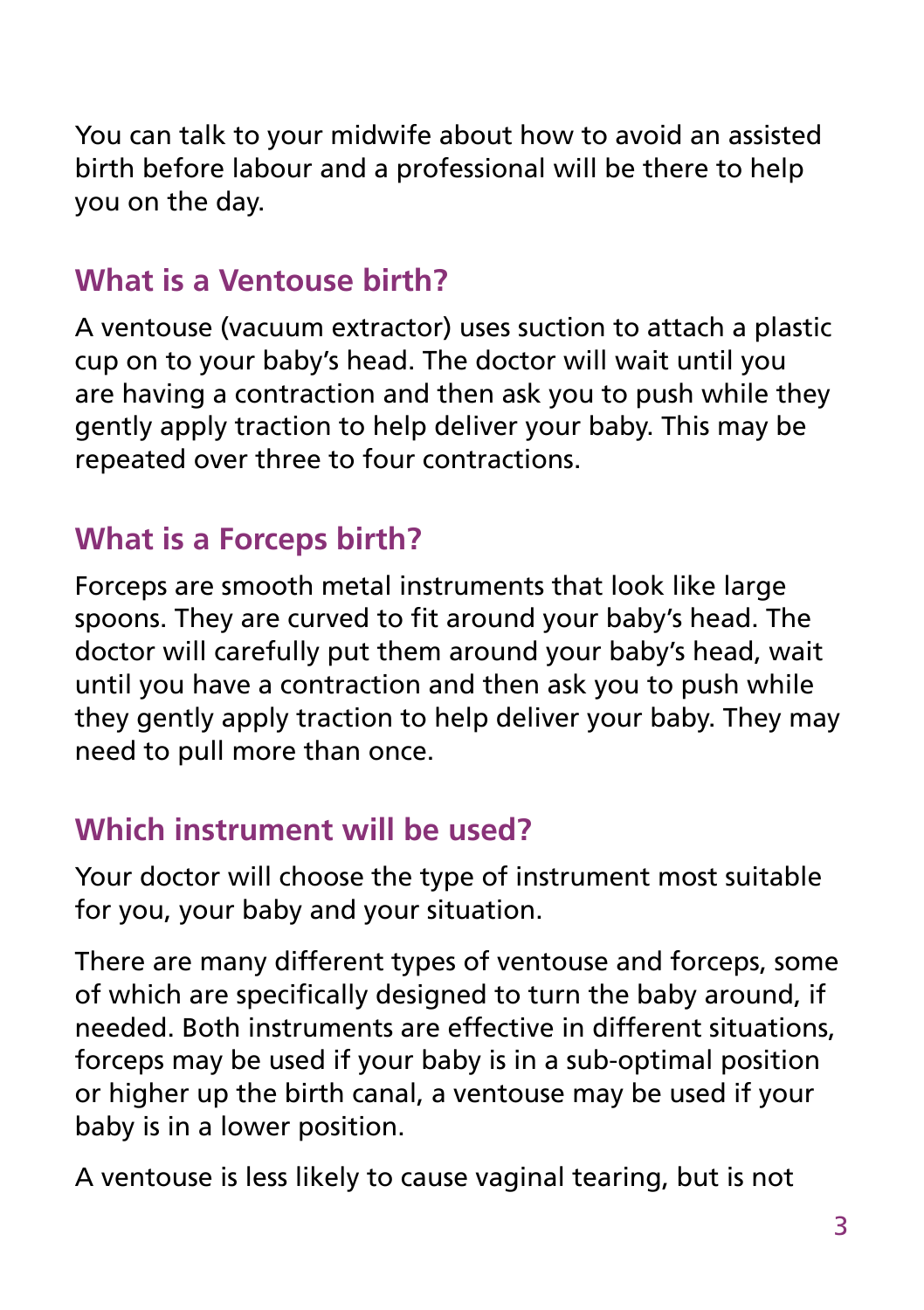You can talk to your midwife about how to avoid an assisted birth before labour and a professional will be there to help you on the day.

### **What is a Ventouse birth?**

A ventouse (vacuum extractor) uses suction to attach a plastic cup on to your baby's head. The doctor will wait until you are having a contraction and then ask you to push while they gently apply traction to help deliver your baby. This may be repeated over three to four contractions.

### **What is a Forceps birth?**

Forceps are smooth metal instruments that look like large spoons. They are curved to fit around your baby's head. The doctor will carefully put them around your baby's head, wait until you have a contraction and then ask you to push while they gently apply traction to help deliver your baby. They may need to pull more than once.

### **Which instrument will be used?**

Your doctor will choose the type of instrument most suitable for you, your baby and your situation.

There are many different types of ventouse and forceps, some of which are specifically designed to turn the baby around, if needed. Both instruments are effective in different situations, forceps may be used if your baby is in a sub-optimal position or higher up the birth canal, a ventouse may be used if your baby is in a lower position.

A ventouse is less likely to cause vaginal tearing, but is not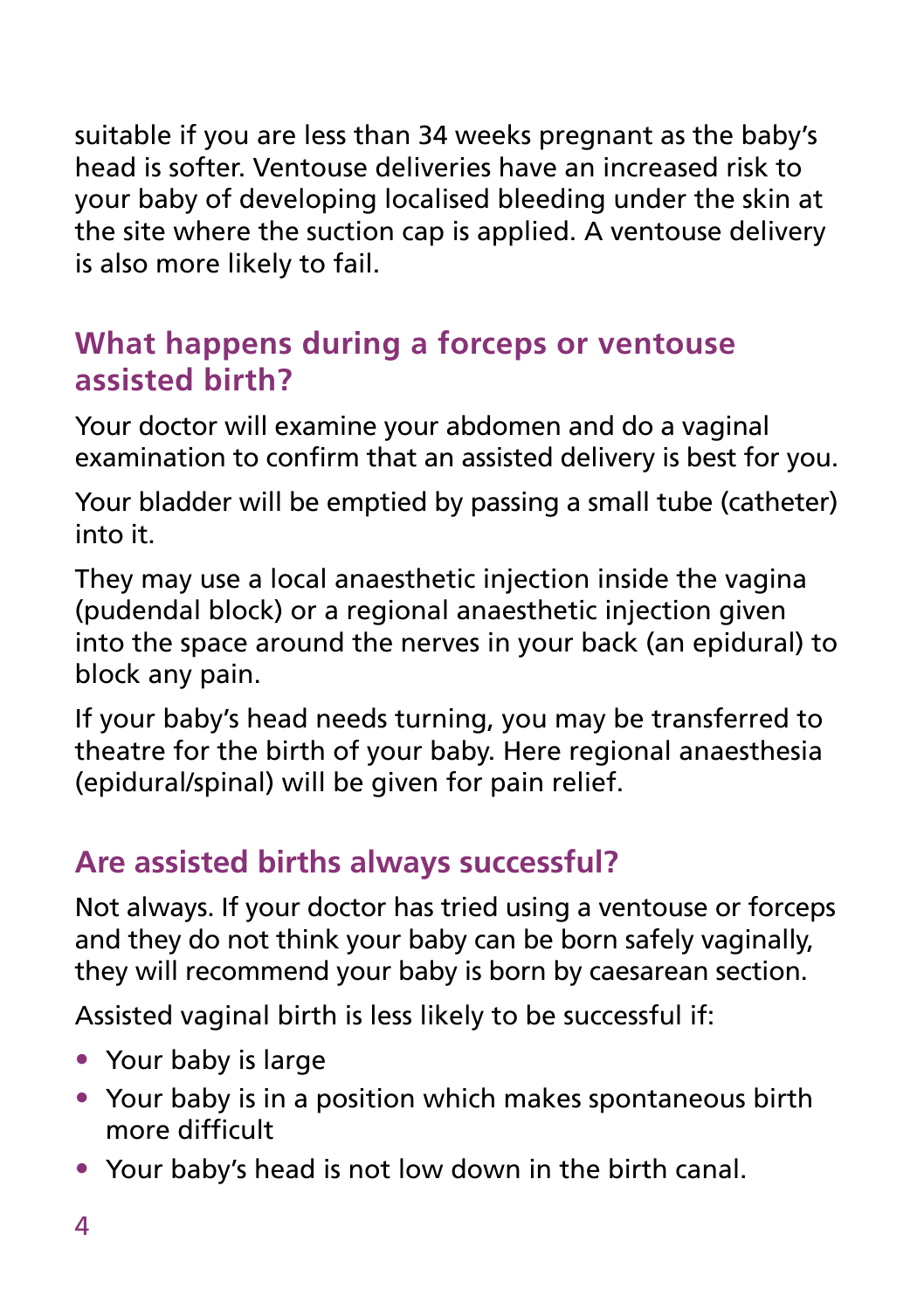suitable if you are less than 34 weeks pregnant as the baby's head is softer. Ventouse deliveries have an increased risk to your baby of developing localised bleeding under the skin at the site where the suction cap is applied. A ventouse delivery is also more likely to fail.

#### **What happens during a forceps or ventouse assisted birth?**

Your doctor will examine your abdomen and do a vaginal examination to confirm that an assisted delivery is best for you.

Your bladder will be emptied by passing a small tube (catheter) into it.

They may use a local anaesthetic injection inside the vagina (pudendal block) or a regional anaesthetic injection given into the space around the nerves in your back (an epidural) to block any pain.

If your baby's head needs turning, you may be transferred to theatre for the birth of your baby. Here regional anaesthesia (epidural/spinal) will be given for pain relief.

# **Are assisted births always successful?**

Not always. If your doctor has tried using a ventouse or forceps and they do not think your baby can be born safely vaginally, they will recommend your baby is born by caesarean section.

Assisted vaginal birth is less likely to be successful if:

- Your baby is large
- Your baby is in a position which makes spontaneous birth more difficult
- Your baby's head is not low down in the birth canal.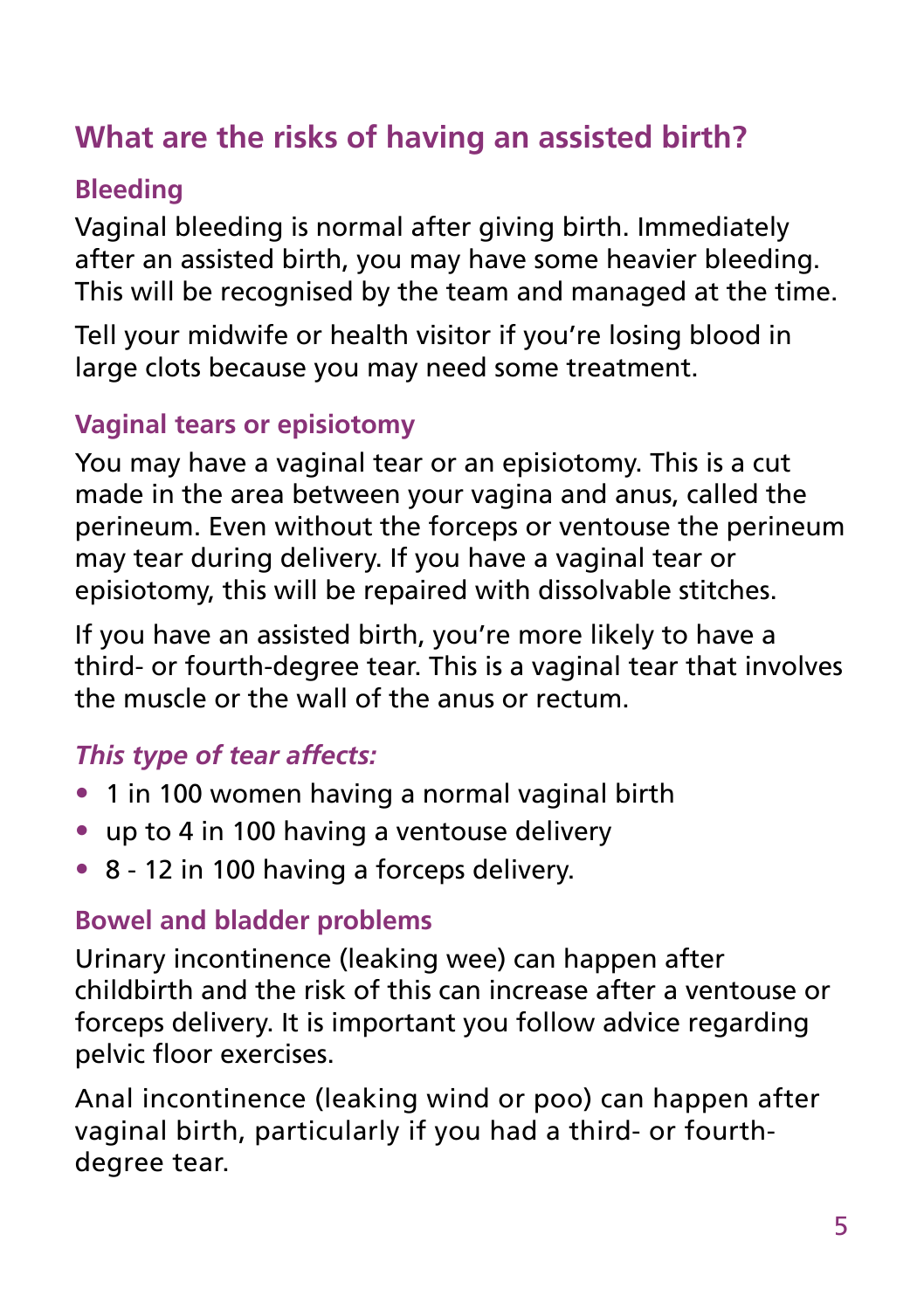# **What are the risks of having an assisted birth?**

#### **Bleeding**

Vaginal bleeding is normal after giving birth. Immediately after an assisted birth, you may have some heavier bleeding. This will be recognised by the team and managed at the time.

Tell your midwife or health visitor if you're losing blood in large clots because you may need some treatment.

#### **Vaginal tears or episiotomy**

You may have a vaginal tear or an episiotomy. This is a cut made in the area between your vagina and anus, called the perineum. Even without the forceps or ventouse the perineum may tear during delivery. If you have a vaginal tear or episiotomy, this will be repaired with dissolvable stitches.

If you have an assisted birth, you're more likely to have a third- or fourth-degree tear. This is a vaginal tear that involves the muscle or the wall of the anus or rectum.

### *This type of tear affects:*

- 1 in 100 women having a normal vaginal birth
- up to 4 in 100 having a ventouse delivery
- 8 12 in 100 having a forceps delivery.

#### **Bowel and bladder problems**

Urinary incontinence (leaking wee) can happen after childbirth and the risk of this can increase after a ventouse or forceps delivery. It is important you follow advice regarding pelvic floor exercises.

Anal incontinence (leaking wind or poo) can happen after vaginal birth, particularly if you had a third- or fourthdegree tear.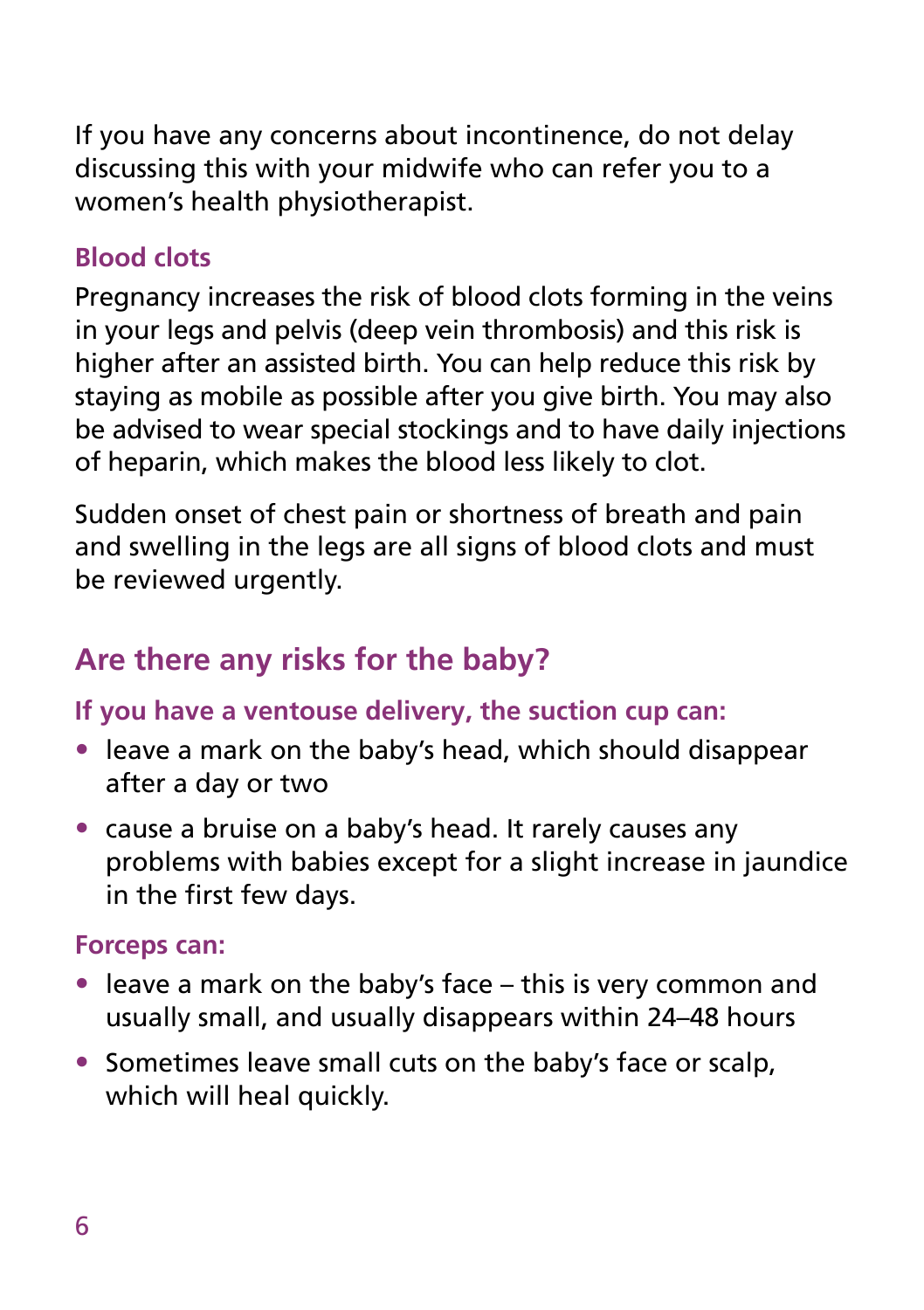If you have any concerns about incontinence, do not delay discussing this with your midwife who can refer you to a women's health physiotherapist.

#### **Blood clots**

Pregnancy increases the risk of blood clots forming in the veins in your legs and pelvis (deep vein thrombosis) and this risk is higher after an assisted birth. You can help reduce this risk by staying as mobile as possible after you give birth. You may also be advised to wear special stockings and to have daily injections of heparin, which makes the blood less likely to clot.

Sudden onset of chest pain or shortness of breath and pain and swelling in the legs are all signs of blood clots and must be reviewed urgently.

# **Are there any risks for the baby?**

#### **If you have a ventouse delivery, the suction cup can:**

- leave a mark on the baby's head, which should disappear after a day or two
- cause a bruise on a baby's head. It rarely causes any problems with babies except for a slight increase in jaundice in the first few days.

#### **Forceps can:**

- leave a mark on the baby's face this is very common and usually small, and usually disappears within 24–48 hours
- Sometimes leave small cuts on the baby's face or scalp, which will heal quickly.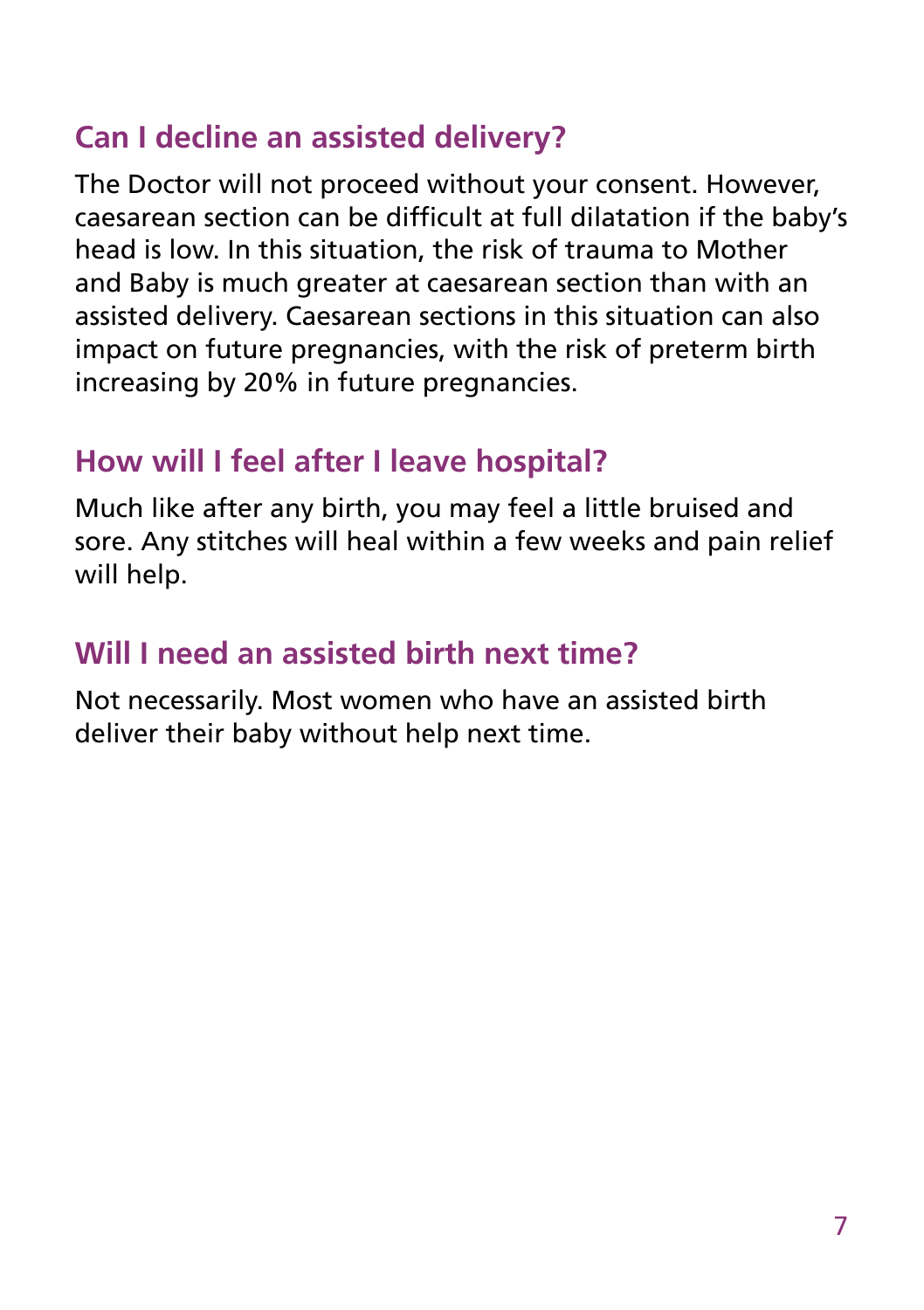### **Can I decline an assisted delivery?**

The Doctor will not proceed without your consent. However, caesarean section can be difficult at full dilatation if the baby's head is low. In this situation, the risk of trauma to Mother and Baby is much greater at caesarean section than with an assisted delivery. Caesarean sections in this situation can also impact on future pregnancies, with the risk of preterm birth increasing by 20% in future pregnancies.

#### **How will I feel after I leave hospital?**

Much like after any birth, you may feel a little bruised and sore. Any stitches will heal within a few weeks and pain relief will help.

#### **Will I need an assisted birth next time?**

Not necessarily. Most women who have an assisted birth deliver their baby without help next time.